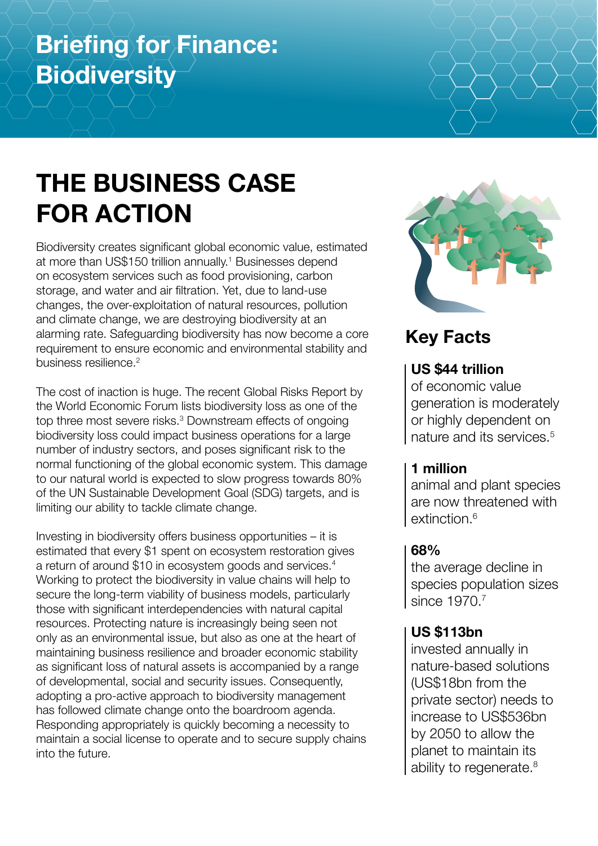# **Briefing for Finance: Biodiversity**

# **THE BUSINESS CASE FOR ACTION**

Biodiversity creates significant global economic value, estimated at more than US\$150 trillion annually.<sup>1</sup> Businesses depend on ecosystem services such as food provisioning, carbon storage, and water and air filtration. Yet, due to land-use changes, the over-exploitation of natural resources, pollution and climate change, we are destroying biodiversity at an alarming rate. Safeguarding biodiversity has now become a core requirement to ensure economic and environmental stability and business resilience.<sup>2</sup>

The cost of inaction is huge. The recent Global Risks Report by the World Economic Forum lists biodiversity loss as one of the top three most severe risks.<sup>3</sup> Downstream effects of ongoing biodiversity loss could impact business operations for a large number of industry sectors, and poses significant risk to the normal functioning of the global economic system. This damage to our natural world is expected to slow progress towards 80% of the UN Sustainable Development Goal (SDG) targets, and is limiting our ability to tackle climate change.

Investing in biodiversity offers business opportunities – it is estimated that every \$1 spent on ecosystem restoration gives a return of around \$10 in ecosystem goods and services.4 Working to protect the biodiversity in value chains will help to secure the long-term viability of business models, particularly those with significant interdependencies with natural capital resources. Protecting nature is increasingly being seen not only as an environmental issue, but also as one at the heart of maintaining business resilience and broader economic stability as significant loss of natural assets is accompanied by a range of developmental, social and security issues. Consequently, adopting a pro-active approach to biodiversity management has followed climate change onto the boardroom agenda. Responding appropriately is quickly becoming a necessity to maintain a social license to operate and to secure supply chains into the future.



## **Key Facts**

## **US \$44 trillion**

of economic value generation is moderately or highly dependent on nature and its services.5

## **1 million**

animal and plant species are now threatened with extinction.<sup>6</sup>

## **68%**

the average decline in species population sizes since 1970.<sup>7</sup>

## **US \$113bn**

invested annually in nature-based solutions (US\$18bn from the private sector) needs to increase to US\$536bn by 2050 to allow the planet to maintain its ability to regenerate.<sup>8</sup>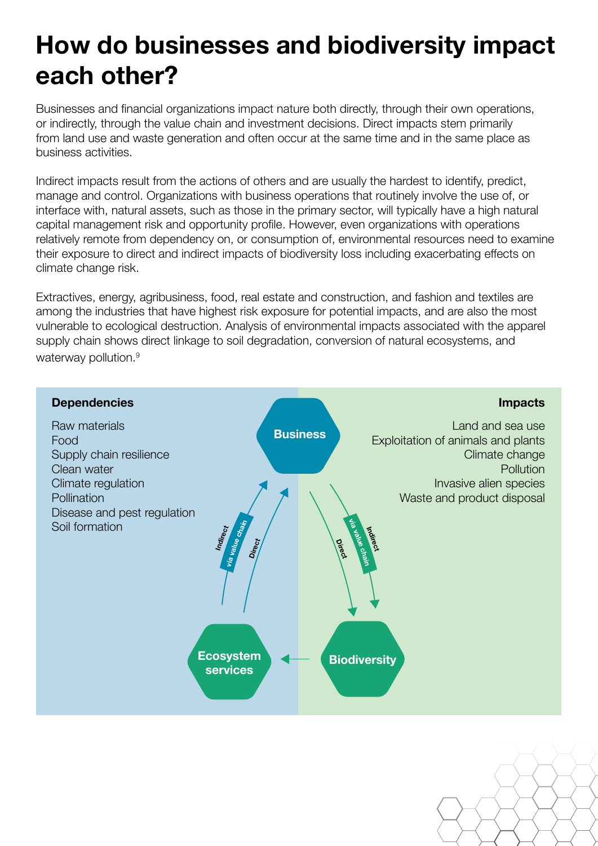# **How do businesses and biodiversity impact each other?**

Businesses and financial organizations impact nature both directly, through their own operations, or indirectly, through the value chain and investment decisions. Direct impacts stem primarily from land use and waste generation and often occur at the same time and in the same place as business activities.

Indirect impacts result from the actions of others and are usually the hardest to identify, predict, manage and control. Organizations with business operations that routinely involve the use of, or interface with, natural assets, such as those in the primary sector, will typically have a high natural capital management risk and opportunity profile. However, even organizations with operations relatively remote from dependency on, or consumption of, environmental resources need to examine their exposure to direct and indirect impacts of biodiversity loss including exacerbating effects on climate change risk.

Extractives, energy, agribusiness, food, real estate and construction, and fashion and textiles are among the industries that have highest risk exposure for potential impacts, and are also the most vulnerable to ecological destruction. Analysis of environmental impacts associated with the apparel supply chain shows direct linkage to soil degradation, conversion of natural ecosystems, and waterway pollution.<sup>9</sup>



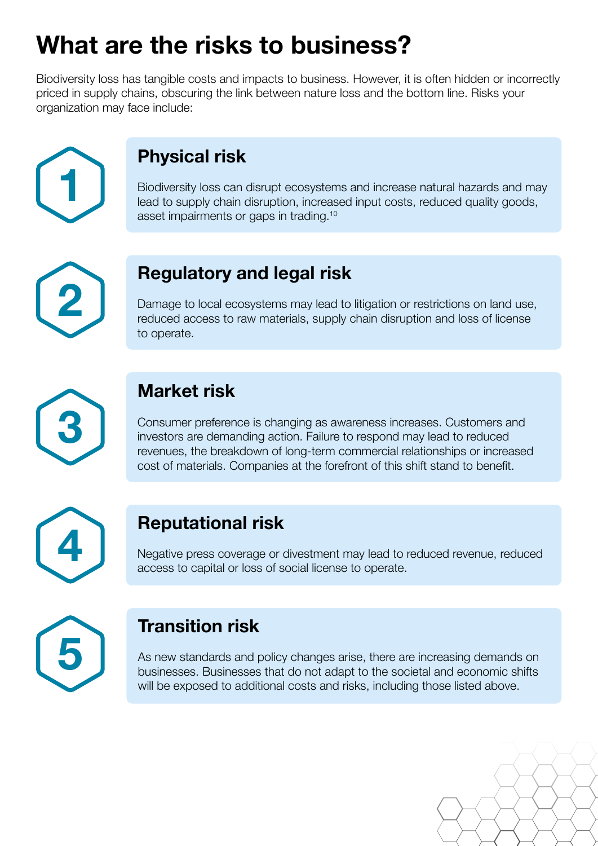# **What are the risks to business?**

Biodiversity loss has tangible costs and impacts to business. However, it is often hidden or incorrectly priced in supply chains, obscuring the link between nature loss and the bottom line. Risks your organization may face include:



# **Physical risk**

Biodiversity loss can disrupt ecosystems and increase natural hazards and may lead to supply chain disruption, increased input costs, reduced quality goods, asset impairments or gaps in trading.10



## **Regulatory and legal risk**

Damage to local ecosystems may lead to litigation or restrictions on land use, reduced access to raw materials, supply chain disruption and loss of license to operate.



## **Market risk**

Consumer preference is changing as awareness increases. Customers and investors are demanding action. Failure to respond may lead to reduced revenues, the breakdown of long-term commercial relationships or increased cost of materials. Companies at the forefront of this shift stand to benefit.



## **Reputational risk**

Negative press coverage or divestment may lead to reduced revenue, reduced **4** access to capital or loss of social license to operate.



## **Transition risk**

As new standards and policy changes arise, there are increasing demands on businesses. Businesses that do not adapt to the societal and economic shifts will be exposed to additional costs and risks, including those listed above.

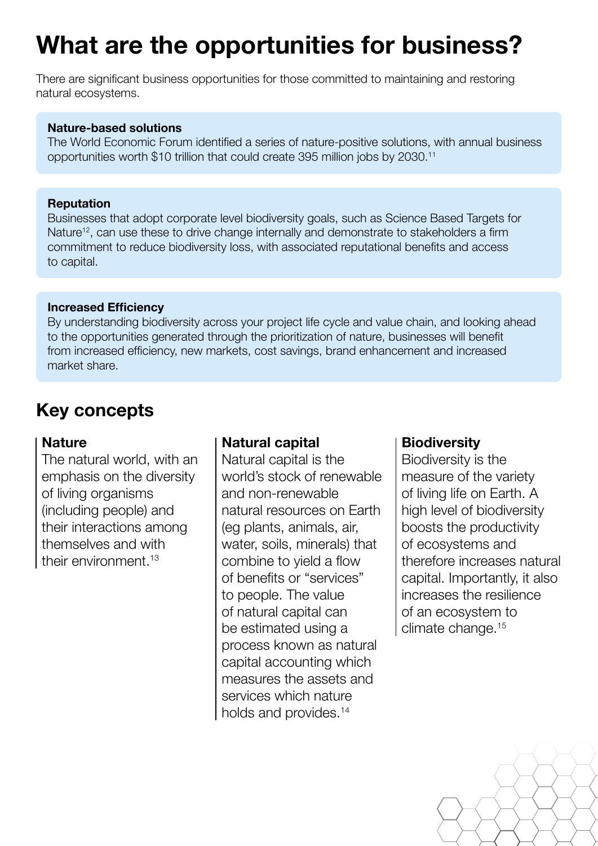# **What are the opportunities for business?**

There are significant business opportunities for those committed to maintaining and restoring natural ecosystems.

#### **Nature-based solutions**

The World Economic Forum identified a series of nature-positive solutions, with annual business opportunities worth \$10 trillion that could create 395 million jobs by 2030.11

#### **Reputation**

Businesses that adopt corporate level biodiversity goals, such as Science Based Targets for Nature<sup>12</sup>, can use these to drive change internally and demonstrate to stakeholders a firm commitment to reduce biodiversity loss, with associated reputational benefits and access to capital.

#### **Increased Efficiency**

By understanding biodiversity across your project life cycle and value chain, and looking ahead to the opportunities generated through the prioritization of nature, businesses will benefit from increased efficiency, new markets, cost savings, brand enhancement and increased market share.

## **Key concepts**

#### **Nature**

The natural world, with an emphasis on the diversity of living organisms (including people) and their interactions among themselves and with their environment.13

### **Natural capital**

Natural capital is the world's stock of renewable and non-renewable natural resources on Earth (eg plants, animals, air, water, soils, minerals) that combine to yield a flow of benefits or "services" to people. The value of natural capital can be estimated using a process known as natural capital accounting which measures the assets and services which nature holds and provides.<sup>14</sup>

### **Biodiversity**

Biodiversity is the measure of the variety of living life on Earth. A high level of biodiversity boosts the productivity of ecosystems and therefore increases natural capital. Importantly, it also increases the resilience of an ecosystem to climate change.15

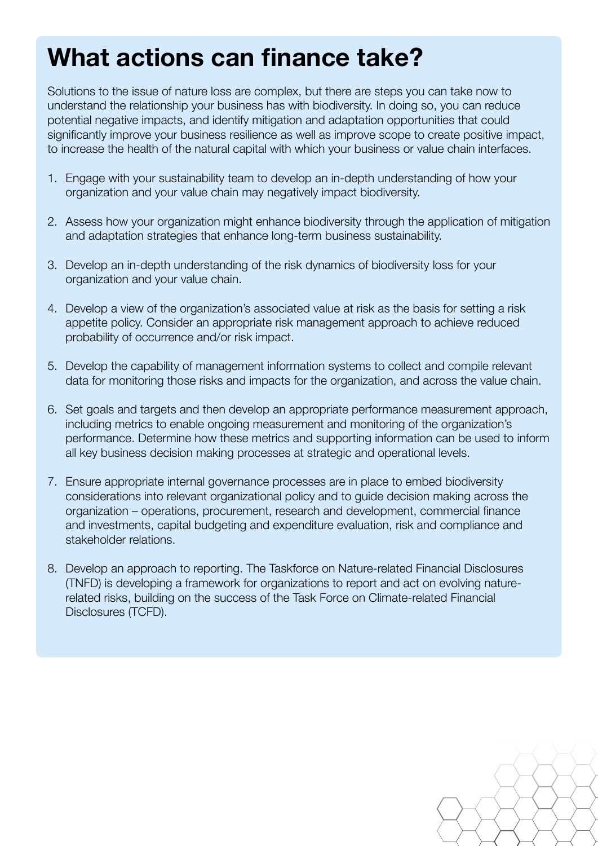# **What actions can finance take?**

Solutions to the issue of nature loss are complex, but there are steps you can take now to understand the relationship your business has with biodiversity. In doing so, you can reduce potential negative impacts, and identify mitigation and adaptation opportunities that could significantly improve your business resilience as well as improve scope to create positive impact, to increase the health of the natural capital with which your business or value chain interfaces.

- 1. Engage with your sustainability team to develop an in-depth understanding of how your organization and your value chain may negatively impact biodiversity.
- 2. Assess how your organization might enhance biodiversity through the application of mitigation and adaptation strategies that enhance long-term business sustainability.
- 3. Develop an in-depth understanding of the risk dynamics of biodiversity loss for your organization and your value chain.
- 4. Develop a view of the organization's associated value at risk as the basis for setting a risk appetite policy. Consider an appropriate risk management approach to achieve reduced probability of occurrence and/or risk impact.
- 5. Develop the capability of management information systems to collect and compile relevant data for monitoring those risks and impacts for the organization, and across the value chain.
- 6. Set goals and targets and then develop an appropriate performance measurement approach, including metrics to enable ongoing measurement and monitoring of the organization's performance. Determine how these metrics and supporting information can be used to inform all key business decision making processes at strategic and operational levels.
- 7. Ensure appropriate internal governance processes are in place to embed biodiversity considerations into relevant organizational policy and to guide decision making across the organization – operations, procurement, research and development, commercial finance and investments, capital budgeting and expenditure evaluation, risk and compliance and stakeholder relations.
- 8. Develop an approach to reporting. The Taskforce on Nature-related Financial Disclosures (TNFD) is developing a framework for organizations to report and act on evolving naturerelated risks, building on the success of the Task Force on Climate-related Financial Disclosures (TCFD).